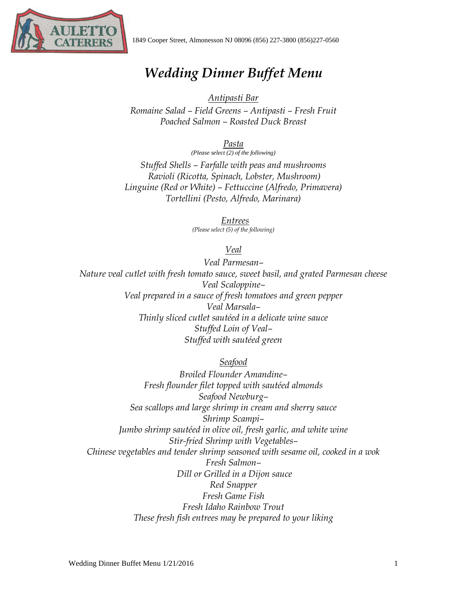

## *Wedding Dinner Buffet Menu*

## *Antipasti Bar*

*Romaine Salad – Field Greens – Antipasti – Fresh Fruit Poached Salmon – Roasted Duck Breast*

*Pasta*

*(Please select (2) of the following) Stuffed Shells – Farfalle with peas and mushrooms Ravioli (Ricotta, Spinach, Lobster, Mushroom) Linguine (Red or White) – Fettuccine (Alfredo, Primavera) Tortellini (Pesto, Alfredo, Marinara)*

> *Entrees (Please select (5) of the following)*

> > *Veal*

*Veal Parmesan– Nature veal cutlet with fresh tomato sauce, sweet basil, and grated Parmesan cheese Veal Scaloppine– Veal prepared in a sauce of fresh tomatoes and green pepper Veal Marsala– Thinly sliced cutlet sautéed in a delicate wine sauce Stuffed Loin of Veal– Stuffed with sautéed green*

*Seafood*

*Broiled Flounder Amandine– Fresh flounder filet topped with sautéed almonds Seafood Newburg– Sea scallops and large shrimp in cream and sherry sauce Shrimp Scampi– Jumbo shrimp sautéed in olive oil, fresh garlic, and white wine Stir-fried Shrimp with Vegetables– Chinese vegetables and tender shrimp seasoned with sesame oil, cooked in a wok Fresh Salmon– Dill or Grilled in a Dijon sauce Red Snapper Fresh Game Fish Fresh Idaho Rainbow Trout These fresh fish entrees may be prepared to your liking*